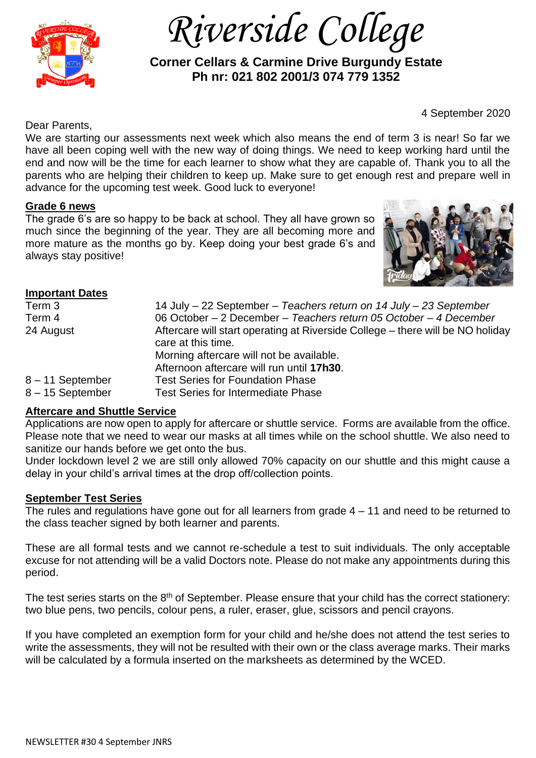

 *Riverside College*

 **Corner Cellars & Carmine Drive Burgundy Estate Ph nr: 021 802 2001/3 074 779 1352**

4 September 2020

Dear Parents,

We are starting our assessments next week which also means the end of term 3 is near! So far we have all been coping well with the new way of doing things. We need to keep working hard until the end and now will be the time for each learner to show what they are capable of. Thank you to all the parents who are helping their children to keep up. Make sure to get enough rest and prepare well in advance for the upcoming test week. Good luck to everyone!

### **Grade 6 news**

The grade 6's are so happy to be back at school. They all have grown so much since the beginning of the year. They are all becoming more and more mature as the months go by. Keep doing your best grade 6's and always stay positive!



# **Important Dates**

| Term 3           | 14 July - 22 September - Teachers return on 14 July - 23 September             |
|------------------|--------------------------------------------------------------------------------|
| Term 4           | 06 October – 2 December – Teachers return 05 October – 4 December              |
| 24 August        | Aftercare will start operating at Riverside College – there will be NO holiday |
|                  | care at this time.                                                             |
|                  | Morning aftercare will not be available.                                       |
|                  | Afternoon aftercare will run until 17h30.                                      |
| 8-11 September   | <b>Test Series for Foundation Phase</b>                                        |
| 8 - 15 September | <b>Test Series for Intermediate Phase</b>                                      |

### **Aftercare and Shuttle Service**

Applications are now open to apply for aftercare or shuttle service. Forms are available from the office. Please note that we need to wear our masks at all times while on the school shuttle. We also need to sanitize our hands before we get onto the bus.

Under lockdown level 2 we are still only allowed 70% capacity on our shuttle and this might cause a delay in your child's arrival times at the drop off/collection points.

#### **September Test Series**

The rules and regulations have gone out for all learners from grade 4 – 11 and need to be returned to the class teacher signed by both learner and parents.

These are all formal tests and we cannot re-schedule a test to suit individuals. The only acceptable excuse for not attending will be a valid Doctors note. Please do not make any appointments during this period.

The test series starts on the 8<sup>th</sup> of September. Please ensure that your child has the correct stationery: two blue pens, two pencils, colour pens, a ruler, eraser, glue, scissors and pencil crayons.

If you have completed an exemption form for your child and he/she does not attend the test series to write the assessments, they will not be resulted with their own or the class average marks. Their marks will be calculated by a formula inserted on the marksheets as determined by the WCED.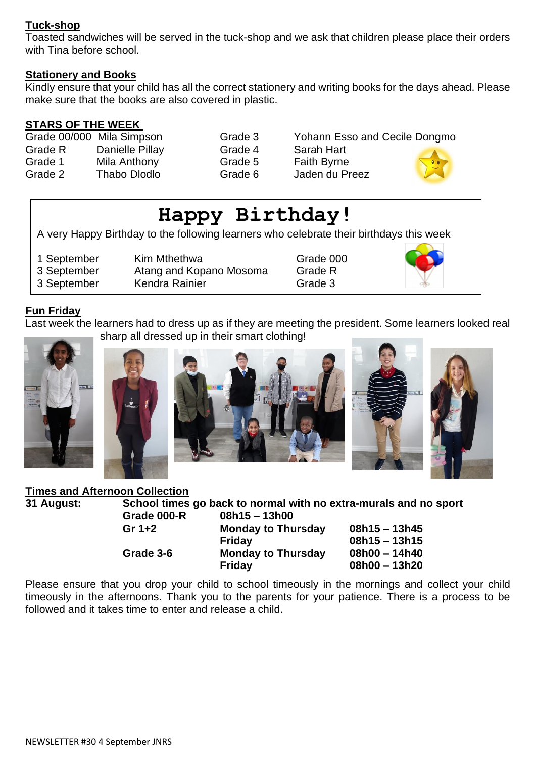### **Tuck-shop**

Toasted sandwiches will be served in the tuck-shop and we ask that children please place their orders with Tina before school.

#### **Stationery and Books**

Kindly ensure that your child has all the correct stationery and writing books for the days ahead. Please make sure that the books are also covered in plastic.

### **STARS OF THE WEEK**

|         | Grade 00/000 Mila Simpson |
|---------|---------------------------|
| Grade R | Danielle Pillay           |
| Grade 1 | Mila Anthony              |
| Grade 2 | <b>Thabo Dlodlo</b>       |

Grade 3 Yohann Esso and Cecile Dongmo Grade 4 Sarah Hart Grade 5 Faith Byrne Grade 6 Jaden du Preez



# **Happy Birthday!** A very Happy Birthday to the following learners who celebrate their birthdays this week 1 September Kim Mthethwa **Grade 000** 3 September Atang and Kopano Mosoma Grade R 3 September Kendra Rainier Grade 3

# **Fun Friday**

Last week the learners had to dress up as if they are meeting the president. Some learners looked real sharp all dressed up in their smart clothing!







#### **Times and Afternoon Collection**

**31 August: School times go back to normal with no extra-murals and no sport Grade 000-R 08h15 – 13h00**

| Gr 1+2    | <b>Monday to Thursday</b> | $08h15 - 13h45$ |
|-----------|---------------------------|-----------------|
|           | <b>Friday</b>             | $08h15 - 13h15$ |
| Grade 3-6 | <b>Monday to Thursday</b> | 08h00 - 14h40   |
|           | Friday                    | 08h00 - 13h20   |

Please ensure that you drop your child to school timeously in the mornings and collect your child timeously in the afternoons. Thank you to the parents for your patience. There is a process to be followed and it takes time to enter and release a child.